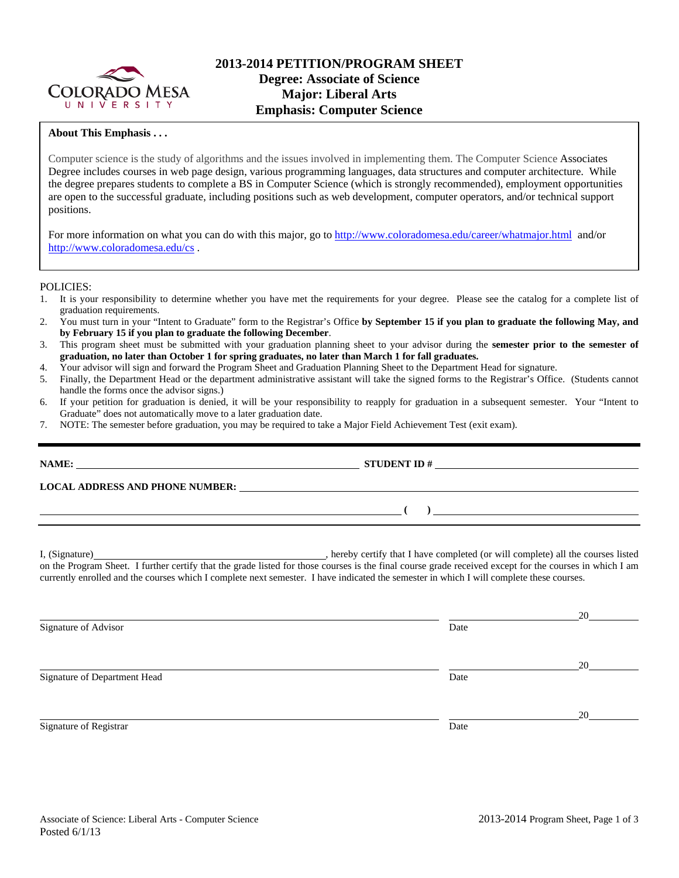

#### **About This Emphasis . . .**

Computer science is the study of algorithms and the issues involved in implementing them. The Computer Science Associates Degree includes courses in web page design, various programming languages, data structures and computer architecture. While the degree prepares students to complete a BS in Computer Science (which is strongly recommended), employment opportunities are open to the successful graduate, including positions such as web development, computer operators, and/or technical support positions.

For more information on what you can do with this major, go to http://www.coloradomesa.edu/career/whatmajor.html and/or http://www.coloradomesa.edu/cs .

#### POLICIES:

- 1. It is your responsibility to determine whether you have met the requirements for your degree. Please see the catalog for a complete list of graduation requirements.
- 2. You must turn in your "Intent to Graduate" form to the Registrar's Office **by September 15 if you plan to graduate the following May, and by February 15 if you plan to graduate the following December**.
- 3. This program sheet must be submitted with your graduation planning sheet to your advisor during the **semester prior to the semester of graduation, no later than October 1 for spring graduates, no later than March 1 for fall graduates.**
- 4. Your advisor will sign and forward the Program Sheet and Graduation Planning Sheet to the Department Head for signature.
- 5. Finally, the Department Head or the department administrative assistant will take the signed forms to the Registrar's Office. (Students cannot handle the forms once the advisor signs.)
- 6. If your petition for graduation is denied, it will be your responsibility to reapply for graduation in a subsequent semester. Your "Intent to Graduate" does not automatically move to a later graduation date.
- 7. NOTE: The semester before graduation, you may be required to take a Major Field Achievement Test (exit exam).

| NAME:<br><b>LOCAL ADDRESS AND PHONE NUMBER:</b> | <b>STUDENT ID#</b><br><u> 1989 - John Stein, mars and de Britain and de Britain and de Britain and de Britain and de Britain and de Br</u> |  |
|-------------------------------------------------|--------------------------------------------------------------------------------------------------------------------------------------------|--|
|                                                 |                                                                                                                                            |  |
|                                                 |                                                                                                                                            |  |

I, (Signature) , hereby certify that I have completed (or will complete) all the courses listed on the Program Sheet. I further certify that the grade listed for those courses is the final course grade received except for the courses in which I am currently enrolled and the courses which I complete next semester. I have indicated the semester in which I will complete these courses.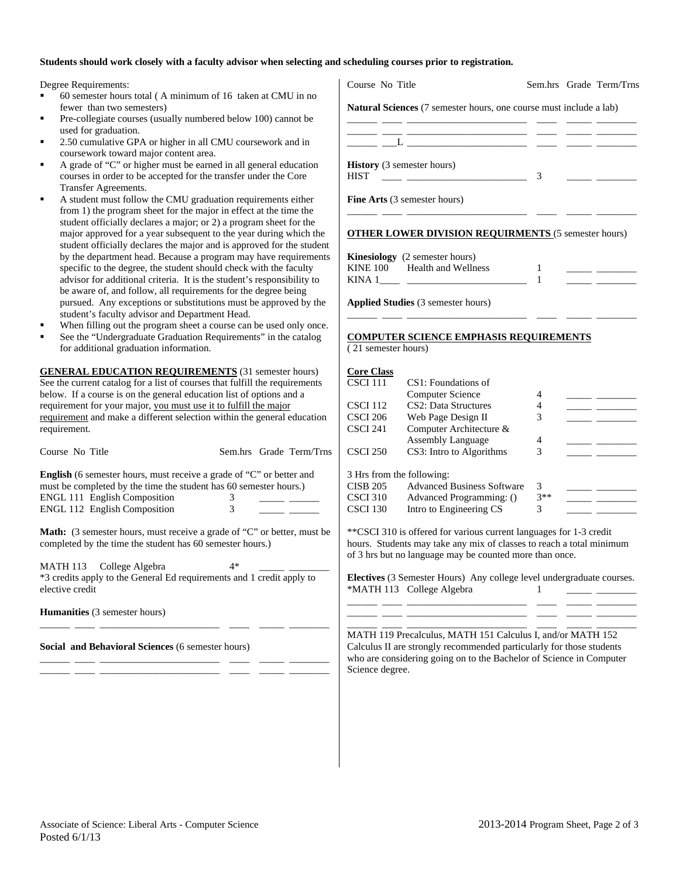#### **Students should work closely with a faculty advisor when selecting and scheduling courses prior to registration.**

Degree Requirements:

- 60 semester hours total ( A minimum of 16 taken at CMU in no fewer than two semesters)
- Pre-collegiate courses (usually numbered below 100) cannot be used for graduation.
- 2.50 cumulative GPA or higher in all CMU coursework and in coursework toward major content area.
- A grade of "C" or higher must be earned in all general education courses in order to be accepted for the transfer under the Core Transfer Agreements.
- A student must follow the CMU graduation requirements either from 1) the program sheet for the major in effect at the time the student officially declares a major; or 2) a program sheet for the major approved for a year subsequent to the year during which the student officially declares the major and is approved for the student by the department head. Because a program may have requirements specific to the degree, the student should check with the faculty advisor for additional criteria. It is the student's responsibility to be aware of, and follow, all requirements for the degree being pursued. Any exceptions or substitutions must be approved by the student's faculty advisor and Department Head.
- When filling out the program sheet a course can be used only once.
- See the "Undergraduate Graduation Requirements" in the catalog for additional graduation information.

**GENERAL EDUCATION REQUIREMENTS** (31 semester hours) See the current catalog for a list of courses that fulfill the requirements below. If a course is on the general education list of options and a requirement for your major, you must use it to fulfill the major requirement and make a different selection within the general education requirement.

| Course No Title                                                                                                                                  |    |  | Sem.hrs Grade Term/Trns |  |  |
|--------------------------------------------------------------------------------------------------------------------------------------------------|----|--|-------------------------|--|--|
| <b>English</b> (6 semester hours, must receive a grade of "C" or better and<br>must be completed by the time the student has 60 semester hours.) |    |  |                         |  |  |
| <b>ENGL 111 English Composition</b>                                                                                                              | 3  |  |                         |  |  |
| <b>ENGL 112 English Composition</b>                                                                                                              | 3  |  |                         |  |  |
| <b>Math:</b> (3 semester hours, must receive a grade of "C" or better, must be<br>completed by the time the student has 60 semester hours.)      |    |  |                         |  |  |
| MATH 113 College Algebra<br>$*2$ and $\frac{1}{2}$ to the Canand Ed negligements and 1 and it analy to                                           | 4* |  |                         |  |  |

3 credits apply to the General Ed requirements and 1 credit apply to elective credit

\_\_\_\_\_\_ \_\_\_\_ \_\_\_\_\_\_\_\_\_\_\_\_\_\_\_\_\_\_\_\_\_\_\_\_ \_\_\_\_ \_\_\_\_\_ \_\_\_\_\_\_\_\_

\_\_\_\_\_\_ \_\_\_\_ \_\_\_\_\_\_\_\_\_\_\_\_\_\_\_\_\_\_\_\_\_\_\_\_ \_\_\_\_ \_\_\_\_\_ \_\_\_\_\_\_\_\_ \_\_\_\_\_\_ \_\_\_\_ \_\_\_\_\_\_\_\_\_\_\_\_\_\_\_\_\_\_\_\_\_\_\_\_ \_\_\_\_ \_\_\_\_\_ \_\_\_\_\_\_\_\_

**Humanities** (3 semester hours)

**Social and Behavioral Sciences** (6 semester hours)

| Course No Title                                                           |   | Sem.hrs Grade Term/Trns |
|---------------------------------------------------------------------------|---|-------------------------|
| <b>Natural Sciences</b> (7 semester hours, one course must include a lab) |   |                         |
|                                                                           |   |                         |
| <u> 1980 - Jan Stein Hermann, amerikansk politiker (d. 1980)</u>          |   |                         |
| <b>History</b> (3 semester hours)<br><b>HIST</b>                          | 3 |                         |
| <b>Fine Arts</b> (3 semester hours)                                       |   |                         |
|                                                                           |   |                         |
| <b>OTHER LOWER DIVISION REQUIRMENTS (5 semester hours)</b>                |   |                         |

|          | <b>Kinesiology</b> (2 semester hours) |  |  |
|----------|---------------------------------------|--|--|
| KINE 100 | Health and Wellness                   |  |  |
| KINA 1   |                                       |  |  |

\_\_\_\_\_\_ \_\_\_\_ \_\_\_\_\_\_\_\_\_\_\_\_\_\_\_\_\_\_\_\_\_\_\_\_ \_\_\_\_ \_\_\_\_\_ \_\_\_\_\_\_\_\_

**Applied Studies** (3 semester hours)

### **COMPUTER SCIENCE EMPHASIS REQUIREMENTS**

( 21 semester hours)

| <b>Core Class</b> |                                   |       |  |
|-------------------|-----------------------------------|-------|--|
| <b>CSCI 111</b>   | CS1: Foundations of               |       |  |
|                   | Computer Science                  |       |  |
| <b>CSCI 112</b>   | CS <sub>2</sub> : Data Structures |       |  |
| <b>CSCI 206</b>   | Web Page Design II                | 3     |  |
| CSCI 241          | Computer Architecture &           |       |  |
|                   | <b>Assembly Language</b>          |       |  |
| <b>CSCI 250</b>   | CS3: Intro to Algorithms          | 3     |  |
|                   | 3 Hrs from the following:         |       |  |
| <b>CISB 205</b>   | <b>Advanced Business Software</b> | 3     |  |
| <b>CSCI 310</b>   | Advanced Programming: ()          | $3**$ |  |
| CSCI 130          | Intro to Engineering CS           | 3     |  |

\*\*CSCI 310 is offered for various current languages for 1-3 credit hours. Students may take any mix of classes to reach a total minimum of 3 hrs but no language may be counted more than once.

**Electives** (3 Semester Hours) Any college level undergraduate courses. \*MATH 113 College Algebra 1 \_\_\_\_\_\_ \_\_\_\_ \_\_\_\_\_\_\_\_\_\_\_\_\_\_\_\_\_\_\_\_\_\_\_\_ \_\_\_\_ \_\_\_\_\_ \_\_\_\_\_\_\_\_

\_\_\_\_\_\_ \_\_\_\_ \_\_\_\_\_\_\_\_\_\_\_\_\_\_\_\_\_\_\_\_\_\_\_\_ \_\_\_\_ \_\_\_\_\_ \_\_\_\_\_\_\_\_

\_\_\_\_\_\_ \_\_\_\_ \_\_\_\_\_\_\_\_\_\_\_\_\_\_\_\_\_\_\_\_\_\_\_\_ \_\_\_\_ \_\_\_\_\_ \_\_\_\_\_\_\_\_ MATH 119 Precalculus, MATH 151 Calculus I, and/or MATH 152 Calculus II are strongly recommended particularly for those students who are considering going on to the Bachelor of Science in Computer Science degree.